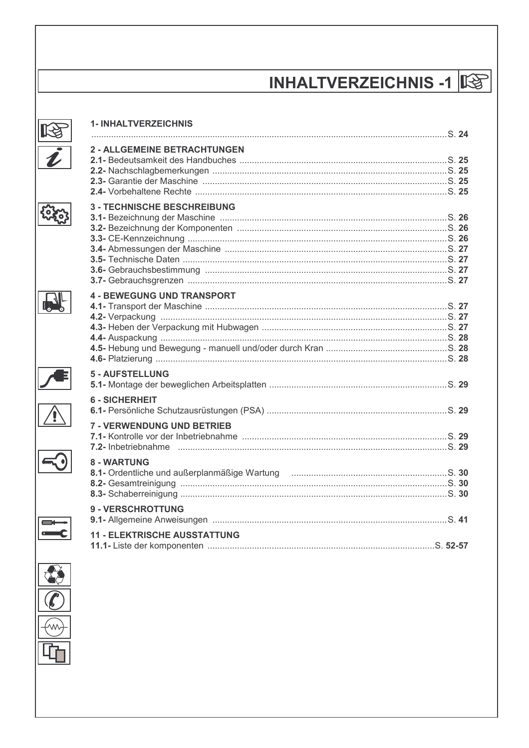# **INHALTVERZEICHNIS -1 IS**

| <b>1- INHALTVERZEICHNIS</b>                                                                                                 |  |
|-----------------------------------------------------------------------------------------------------------------------------|--|
|                                                                                                                             |  |
| <b>2 - ALLGEMEINE BETRACHTUNGEN</b>                                                                                         |  |
| <b>3 - TECHNISCHE BESCHREIBUNG</b>                                                                                          |  |
| <b>4 - BEWEGUNG UND TRANSPORT</b>                                                                                           |  |
| 5 - AUFSTELLUNG                                                                                                             |  |
| <b>6 - SICHERHEIT</b>                                                                                                       |  |
| <b>7 - VERWENDUNG UND BETRIEB</b>                                                                                           |  |
| 8 - WARTUNG<br>8.1- Ordentliche und außerplanmäßige Wartung music mit aussi and außerplanmäßige Wartung music mit aussi aus |  |
| <b>9 - VERSCHROTTUNG</b>                                                                                                    |  |
| <b>11 - ELEKTRISCHE AUSSTATTUNG</b>                                                                                         |  |



**LE** 

tore

**RI**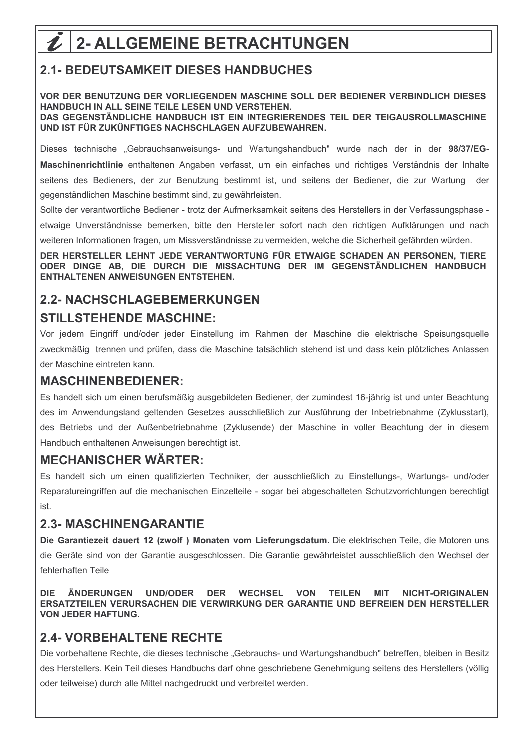# $2$  | 2- ALLGEMEINE BETRACHTUNGEN

## **2.1- BEDEUTSAMKEIT DIESES HANDBUCHES**

VOR DER BENUTZUNG DER VORLIEGENDEN MASCHINE SOLL DER BEDIENER VERBINDLICH DIESES HANDBUCH IN ALL SEINE TEILE LESEN UND VERSTEHEN. DAS GEGENSTÄNDLICHE HANDBUCH IST EIN INTEGRIERENDES TEIL DER TEIGAUSROLLMASCHINE UND IST FÜR ZUKÜNFTIGES NACHSCHLAGEN AUFZUBEWAHREN.

Dieses technische "Gebrauchsanweisungs- und Wartungshandbuch" wurde nach der in der 98/37/EG-Maschinenrichtlinie enthaltenen Angaben verfasst, um ein einfaches und richtiges Verständnis der Inhalte seitens des Bedieners, der zur Benutzung bestimmt ist, und seitens der Bediener, die zur Wartung der gegenständlichen Maschine bestimmt sind, zu gewährleisten.

Sollte der verantwortliche Bediener - trotz der Aufmerksamkeit seitens des Herstellers in der Verfassungsphase etwaige Unverständnisse bemerken, bitte den Hersteller sofort nach den richtigen Aufklärungen und nach weiteren Informationen fragen, um Missverständnisse zu vermeiden, welche die Sicherheit gefährden würden.

DER HERSTELLER LEHNT JEDE VERANTWORTUNG FÜR ETWAIGE SCHADEN AN PERSONEN, TIERE ODER DINGE AB. DIE DURCH DIE MISSACHTUNG DER IM GEGENSTÄNDLICHEN HANDBUCH **ENTHALTENEN ANWEISUNGEN ENTSTEHEN.** 

## **2.2- NACHSCHLAGEBEMERKUNGEN**

#### **STILLSTEHENDE MASCHINE:**

Vor jedem Eingriff und/oder jeder Einstellung im Rahmen der Maschine die elektrische Speisungsquelle zweckmäßig trennen und prüfen, dass die Maschine tatsächlich stehend ist und dass kein plötzliches Anlassen der Maschine eintreten kann.

#### **MASCHINENBEDIENER:**

Es handelt sich um einen berufsmäßig ausgebildeten Bediener, der zumindest 16-jährig ist und unter Beachtung des im Anwendungsland geltenden Gesetzes ausschließlich zur Ausführung der Inbetriebnahme (Zyklusstart), des Betriebs und der Außenbetriebnahme (Zyklusende) der Maschine in voller Beachtung der in diesem Handbuch enthaltenen Anweisungen berechtigt ist.

#### **MECHANISCHER WÄRTER:**

Es handelt sich um einen gualifizierten Techniker, der ausschließlich zu Einstellungs-, Wartungs- und/oder Reparatureingriffen auf die mechanischen Einzelteile - sogar bei abgeschalteten Schutzvorrichtungen berechtigt ist.

#### **2.3- MASCHINENGARANTIE**

Die Garantiezeit dauert 12 (zwolf) Monaten vom Lieferungsdatum. Die elektrischen Teile, die Motoren uns die Geräte sind von der Garantie ausgeschlossen. Die Garantie gewährleistet ausschließlich den Wechsel der fehlerhaften Teile

**ÄNDERUNGEN DIF** UND/ODER DER WECHSEL **VON TEILEN MIT NICHT-ORIGINALEN** ERSATZTEILEN VERURSACHEN DIE VERWIRKUNG DER GARANTIE UND BEFREIEN DEN HERSTELLER **VON JEDER HAFTUNG.** 

### **2.4- VORBEHALTENE RECHTE**

Die vorbehaltene Rechte, die dieses technische "Gebrauchs- und Wartungshandbuch" betreffen, bleiben in Besitz des Herstellers. Kein Teil dieses Handbuchs darf ohne geschriebene Genehmigung seitens des Herstellers (völlig oder teilweise) durch alle Mittel nachgedruckt und verbreitet werden.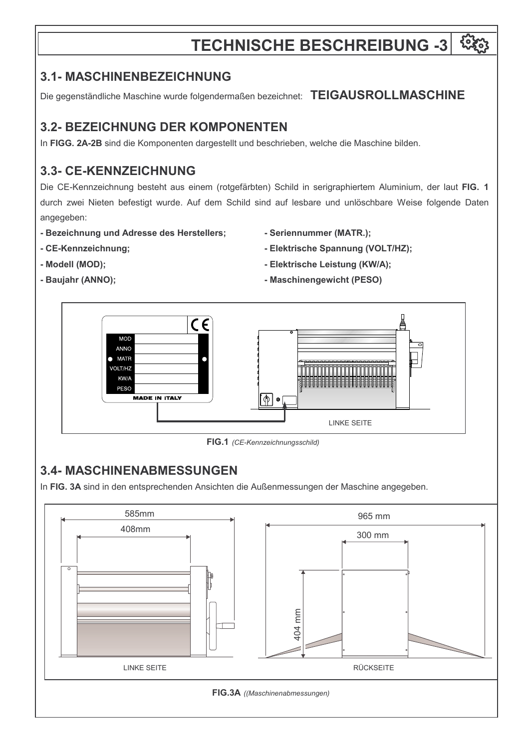# **TECHNISCHE BESCHREIBUNG -3**

### **3.1- MASCHINENBEZEICHNUNG**

Die gegenständliche Maschine wurde folgendermaßen bezeichnet: TEIGAUSROLLMASCHINE

# **3.2- BEZEICHNUNG DER KOMPONENTEN**

In FIGG. 2A-2B sind die Komponenten dargestellt und beschrieben, welche die Maschine bilden.

## **3.3- CE-KENNZEICHNUNG**

Die CE-Kennzeichnung besteht aus einem (rotgefärbten) Schild in serigraphiertem Aluminium, der laut FIG. 1 durch zwei Nieten befestigt wurde. Auf dem Schild sind auf lesbare und unlöschbare Weise folgende Daten angegeben:

- Bezeichnung und Adresse des Herstellers;
- CE-Kennzeichnung;
- Seriennummer (MATR.);
- Elektrische Spannung (VOLT/HZ);

- Modell (MOD);
- Baujahr (ANNO);
- Elektrische Leistung (KW/A);
- Maschinengewicht (PESO)



FIG.1 (CE-Kennzeichnungsschild)

## **3.4- MASCHINENABMESSUNGEN**

In FIG. 3A sind in den entsprechenden Ansichten die Außenmessungen der Maschine angegeben.

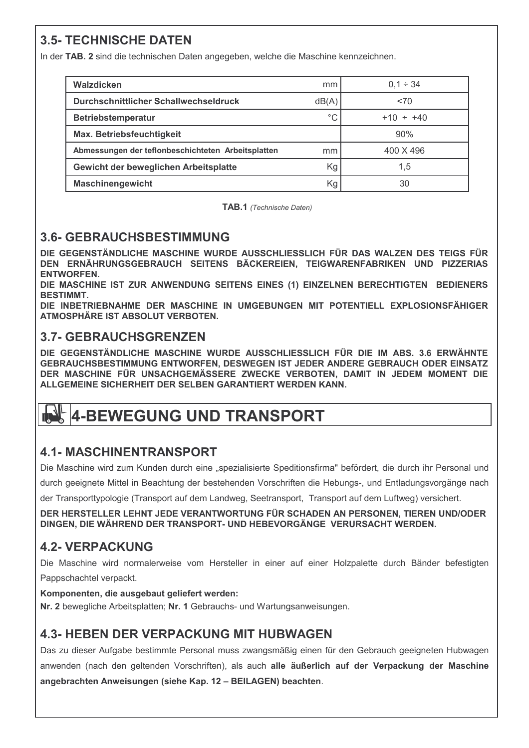## **3.5- TECHNISCHE DATEN**

In der TAB. 2 sind die technischen Daten angegeben, welche die Maschine kennzeichnen.

| Walzdicken                                         | mm          | $0,1 \div 34$  |
|----------------------------------------------------|-------------|----------------|
| Durchschnittlicher Schallwechseldruck              | dB(A)       | < 70           |
| Betriebstemperatur                                 | $^{\circ}C$ | $+10 \div +40$ |
| Max. Betriebsfeuchtigkeit                          |             | 90%            |
| Abmessungen der teflonbeschichteten Arbeitsplatten | mm          | 400 X 496      |
| Gewicht der beweglichen Arbeitsplatte              | Kg          | 1,5            |
| <b>Maschinengewicht</b>                            | Κg          | 30             |

TAB.1 (Technische Daten)

### **3.6- GEBRAUCHSBESTIMMUNG**

DIE GEGENSTÄNDLICHE MASCHINE WURDE AUSSCHLIESSLICH FÜR DAS WALZEN DES TEIGS FÜR DEN ERNÄHRUNGSGEBRAUCH SEITENS BÄCKEREIEN, TEIGWARENFABRIKEN UND PIZZERIAS **ENTWORFEN.** 

DIE MASCHINE IST ZUR ANWENDUNG SEITENS EINES (1) EINZELNEN BERECHTIGTEN BEDIENERS **RESTIMMT** 

DIE INBETRIEBNAHME DER MASCHINE IN UMGEBUNGEN MIT POTENTIELL EXPLOSIONSFÄHIGER ATMOSPHÄRE IST ABSOLUT VERBOTEN.

### **3.7- GEBRAUCHSGRENZEN**

DIE GEGENSTÄNDLICHE MASCHINE WURDE AUSSCHLIESSLICH FÜR DIE IM ABS. 3.6 ERWÄHNTE GEBRAUCHSBESTIMMUNG ENTWORFEN, DESWEGEN IST JEDER ANDERE GEBRAUCH ODER EINSATZ DER MASCHINE FÜR UNSACHGEMÄSSERE ZWECKE VERBOTEN, DAMIT IN JEDEM MOMENT DIE ALLGEMEINE SICHERHEIT DER SELBEN GARANTIERT WERDEN KANN.

# **4-BEWEGUNG UND TRANSPORT**

## **4.1- MASCHINENTRANSPORT**

Die Maschine wird zum Kunden durch eine "spezialisierte Speditionsfirma" befördert, die durch ihr Personal und

durch geeignete Mittel in Beachtung der bestehenden Vorschriften die Hebungs-, und Entladungsvorgänge nach

der Transporttypologie (Transport auf dem Landweg, Seetransport, Transport auf dem Luftweg) versichert.

DER HERSTELLER LEHNT JEDE VERANTWORTUNG FÜR SCHADEN AN PERSONEN, TIEREN UND/ODER DINGEN. DIE WÄHREND DER TRANSPORT- UND HEBEVORGÄNGE VERURSACHT WERDEN.

## **4.2- VERPACKUNG**

Die Maschine wird normalerweise vom Hersteller in einer auf einer Holzpalette durch Bänder befestigten Pappschachtel verpackt.

#### Komponenten, die ausgebaut geliefert werden:

Nr. 2 bewegliche Arbeitsplatten; Nr. 1 Gebrauchs- und Wartungsanweisungen.

## **4.3- HEBEN DER VERPACKUNG MIT HUBWAGEN**

Das zu dieser Aufgabe bestimmte Personal muss zwangsmäßig einen für den Gebrauch geeigneten Hubwagen anwenden (nach den geltenden Vorschriften), als auch alle äußerlich auf der Verpackung der Maschine angebrachten Anweisungen (siehe Kap. 12 - BEILAGEN) beachten.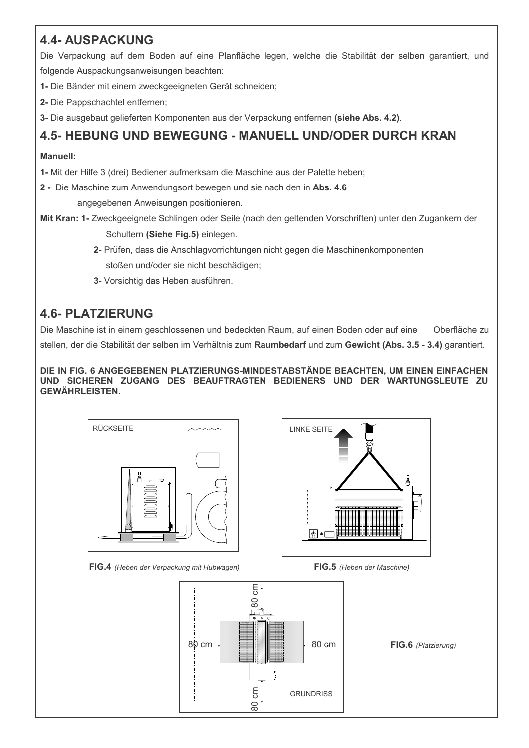## **4.4- AUSPACKUNG**

Die Verpackung auf dem Boden auf eine Planfläche legen, welche die Stabilität der selben garantiert, und folgende Auspackungsanweisungen beachten:

- 1- Die Bänder mit einem zweckgeeigneten Gerät schneiden;
- 2- Die Pappschachtel entfernen;
- 3- Die ausgebaut gelieferten Komponenten aus der Verpackung entfernen (siehe Abs. 4.2).

#### **4.5- HEBUNG UND BEWEGUNG - MANUELL UND/ODER DURCH KRAN**

#### **Manuell:**

1- Mit der Hilfe 3 (drei) Bediener aufmerksam die Maschine aus der Palette heben;

2 - Die Maschine zum Anwendungsort bewegen und sie nach den in Abs. 4.6

angegebenen Anweisungen positionieren.

Mit Kran: 1- Zweckgeeignete Schlingen oder Seile (nach den geltenden Vorschriften) unter den Zugankern der Schultern (Siehe Fig.5) einlegen.

- 2- Prüfen, dass die Anschlagvorrichtungen nicht gegen die Maschinenkomponenten stoßen und/oder sie nicht beschädigen;
- 3- Vorsichtig das Heben ausführen.

### **4.6- PLATZIERUNG**

Die Maschine ist in einem geschlossenen und bedeckten Raum, auf einen Boden oder auf eine Oberfläche zu stellen, der die Stabilität der selben im Verhältnis zum Raumbedarf und zum Gewicht (Abs. 3.5 - 3.4) garantiert.

DIE IN FIG. 6 ANGEGEBENEN PLATZIERUNGS-MINDESTABSTÄNDE BEACHTEN, UM EINEN EINFACHEN UND SICHEREN ZUGANG DES BEAUFTRAGTEN BEDIENERS UND DER WARTUNGSLEUTE ZU **GEWÄHRLEISTEN.** 





FIG.4 (Heben der Verpackung mit Hubwagen)

FIG.5 (Heben der Maschine)

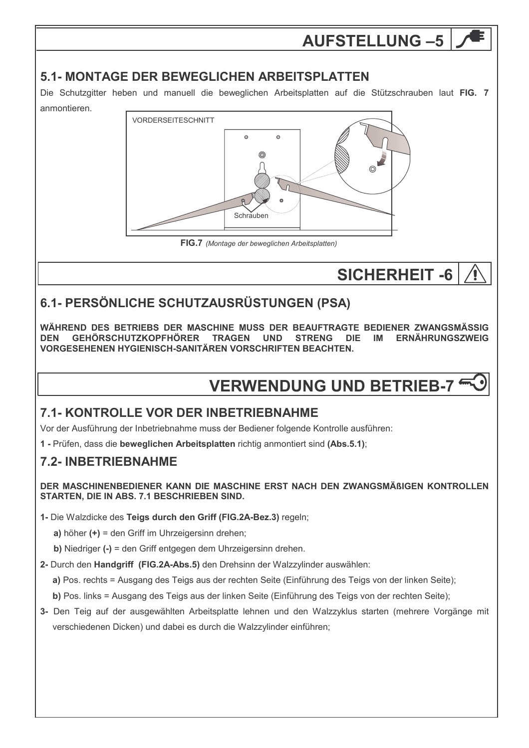# **AUFSTELLUNG-5**

#### **5.1- MONTAGE DER BEWEGLICHEN ARBEITSPLATTEN**

Die Schutzgitter heben und manuell die beweglichen Arbeitsplatten auf die Stützschrauben laut FIG. 7 anmontieren.



FIG.7 (Montage der beweglichen Arbeitsplatten)

# **SICHERHEIT -6**

# 6.1- PERSÖNLICHE SCHUTZAUSRÜSTUNGEN (PSA)

WÄHREND DES BETRIERS DER MASCHINE MUSS DER BEAUFTRAGTE BEDIENER ZWANGSMÄSSIG **GEHÖRSCHUTZKOPFHÖRER** TRAGEN UND **STRENG DIF ERNÄHRUNGSZWEIG DEN IM** VORGESEHENEN HYGIENISCH-SANITÄREN VORSCHRIFTEN BEACHTEN.

# **VERWENDUNG UND BETRIEB-7**

### 7.1- KONTROLLE VOR DER INBETRIEBNAHME

Vor der Ausführung der Inbetriebnahme muss der Bediener folgende Kontrolle ausführen:

1 - Prüfen, dass die beweglichen Arbeitsplatten richtig anmontiert sind (Abs.5.1);

### **7.2- INBETRIEBNAHME**

DER MASCHINENBEDIENER KANN DIE MASCHINE ERST NACH DEN ZWANGSMÄßIGEN KONTROLLEN STARTEN, DIE IN ABS. 7.1 BESCHRIEBEN SIND.

1- Die Walzdicke des Teigs durch den Griff (FIG.2A-Bez.3) regeln;

a) höher  $(+)$  = den Griff im Uhrzeigersinn drehen;

b) Niedriger (-) = den Griff entgegen dem Uhrzeigersinn drehen.

2- Durch den Handgriff (FIG.2A-Abs.5) den Drehsinn der Walzzylinder auswählen:

a) Pos. rechts = Ausgang des Teigs aus der rechten Seite (Einführung des Teigs von der linken Seite);

b) Pos. links = Ausgang des Teigs aus der linken Seite (Einführung des Teigs von der rechten Seite);

3- Den Teig auf der ausgewählten Arbeitsplatte lehnen und den Walzzyklus starten (mehrere Vorgänge mit verschiedenen Dicken) und dabei es durch die Walzzylinder einführen;